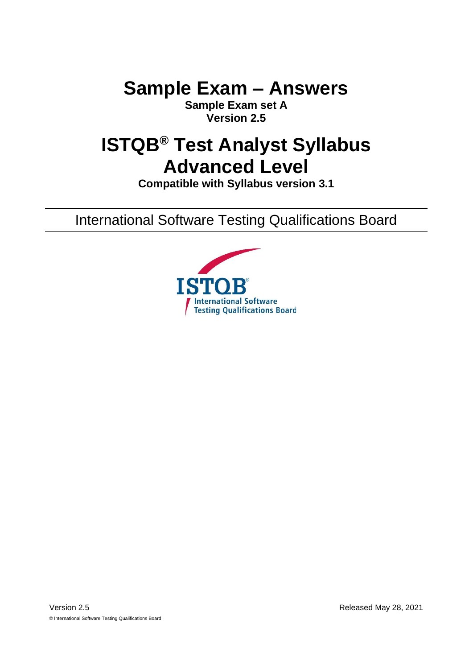**Sample Exam – Answers**

**Sample Exam set A Version 2.5**

# **ISTQB® Test Analyst Syllabus Advanced Level**

**Compatible with Syllabus version 3.1**

International Software Testing Qualifications Board

<span id="page-0-1"></span><span id="page-0-0"></span>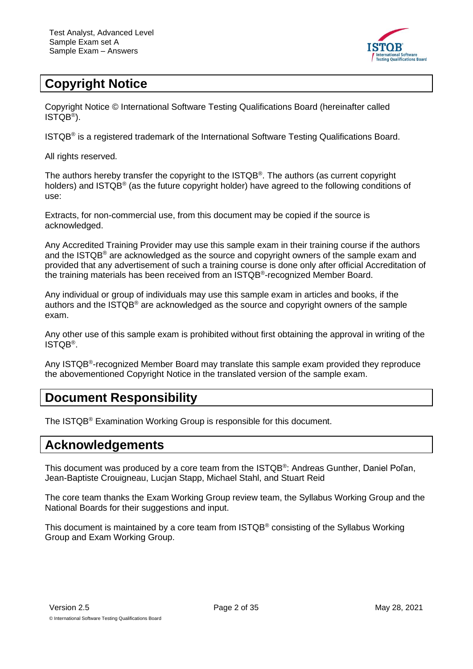

## <span id="page-1-0"></span>**Copyright Notice**

Copyright Notice © International Software Testing Qualifications Board (hereinafter called ISTQB® ).

ISTQB® is a registered trademark of the International Software Testing Qualifications Board.

All rights reserved.

The authors hereby transfer the copyright to the ISTQB® . The authors (as current copyright holders) and ISTQB® (as the future copyright holder) have agreed to the following conditions of use:

Extracts, for non-commercial use, from this document may be copied if the source is acknowledged.

Any Accredited Training Provider may use this sample exam in their training course if the authors and the ISTQB® are acknowledged as the source and copyright owners of the sample exam and provided that any advertisement of such a training course is done only after official Accreditation of the training materials has been received from an ISTQB®-recognized Member Board.

Any individual or group of individuals may use this sample exam in articles and books, if the authors and the ISTQB® are acknowledged as the source and copyright owners of the sample exam.

Any other use of this sample exam is prohibited without first obtaining the approval in writing of the ISTQB® .

Any ISTQB<sup>®</sup>-recognized Member Board may translate this sample exam provided they reproduce the abovementioned Copyright Notice in the translated version of the sample exam.

### <span id="page-1-1"></span>**Document Responsibility**

The ISTQB® Examination Working Group is responsible for this document.

### <span id="page-1-2"></span>**Acknowledgements**

This document was produced by a core team from the ISTQB®: Andreas Gunther, Daniel Poľan, Jean-Baptiste Crouigneau, Lucjan Stapp, Michael Stahl, and Stuart Reid

The core team thanks the Exam Working Group review team, the Syllabus Working Group and the National Boards for their suggestions and input.

This document is maintained by a core team from ISTQB® consisting of the Syllabus Working Group and Exam Working Group.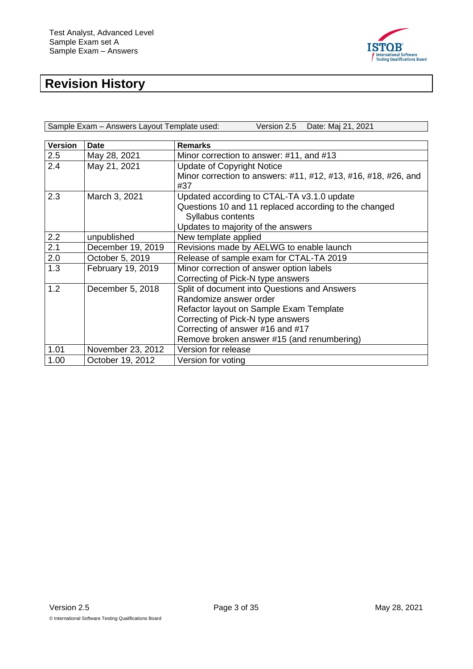

# <span id="page-2-0"></span>**Revision History**

| Sample Exam - Answers Layout Template used: | Version 2.5 Date: Maj 21, 2021 |
|---------------------------------------------|--------------------------------|

| <b>Version</b>   | <b>Date</b>       | <b>Remarks</b>                                                 |
|------------------|-------------------|----------------------------------------------------------------|
| 2.5              | May 28, 2021      | Minor correction to answer: #11, and #13                       |
| 2.4              | May 21, 2021      | <b>Update of Copyright Notice</b>                              |
|                  |                   | Minor correction to answers: #11, #12, #13, #16, #18, #26, and |
|                  |                   | #37                                                            |
| 2.3              | March 3, 2021     | Updated according to CTAL-TA v3.1.0 update                     |
|                  |                   | Questions 10 and 11 replaced according to the changed          |
|                  |                   | Syllabus contents                                              |
|                  |                   | Updates to majority of the answers                             |
| 2.2              | unpublished       | New template applied                                           |
| $\overline{2.1}$ | December 19, 2019 | Revisions made by AELWG to enable launch                       |
| 2.0              | October 5, 2019   | Release of sample exam for CTAL-TA 2019                        |
| 1.3              | February 19, 2019 | Minor correction of answer option labels                       |
|                  |                   | Correcting of Pick-N type answers                              |
| 1.2              | December 5, 2018  | Split of document into Questions and Answers                   |
|                  |                   | Randomize answer order                                         |
|                  |                   | Refactor layout on Sample Exam Template                        |
|                  |                   | Correcting of Pick-N type answers                              |
|                  |                   | Correcting of answer #16 and #17                               |
|                  |                   | Remove broken answer #15 (and renumbering)                     |
| 1.01             | November 23, 2012 | Version for release                                            |
| 1.00             | October 19, 2012  | Version for voting                                             |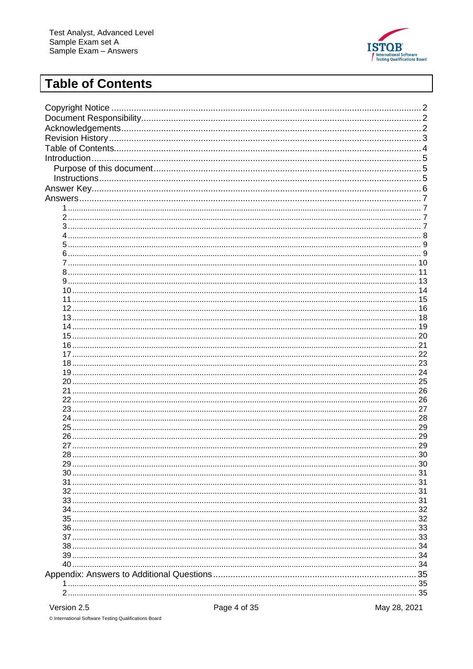

## <span id="page-3-0"></span>**Table of Contents**

|             |              | 10           |
|-------------|--------------|--------------|
|             |              |              |
|             |              |              |
|             |              |              |
|             |              |              |
|             |              |              |
|             |              |              |
|             |              | 19           |
|             |              | 20           |
|             |              | 21           |
|             |              | 22           |
|             |              |              |
|             |              |              |
|             |              |              |
|             |              |              |
|             |              |              |
|             |              |              |
|             |              |              |
|             |              |              |
|             |              | 29           |
|             |              | 30           |
|             |              | 30           |
|             |              | 31           |
|             |              | 31           |
|             |              | 31           |
|             |              | 31           |
|             |              | 32           |
|             |              | 32           |
|             |              | 33           |
|             |              | 33           |
|             |              | 34           |
|             |              | 34           |
|             |              | 34           |
|             |              | 35           |
|             |              | 35           |
|             |              | 35           |
| Version 2.5 | Page 4 of 35 | May 28, 2021 |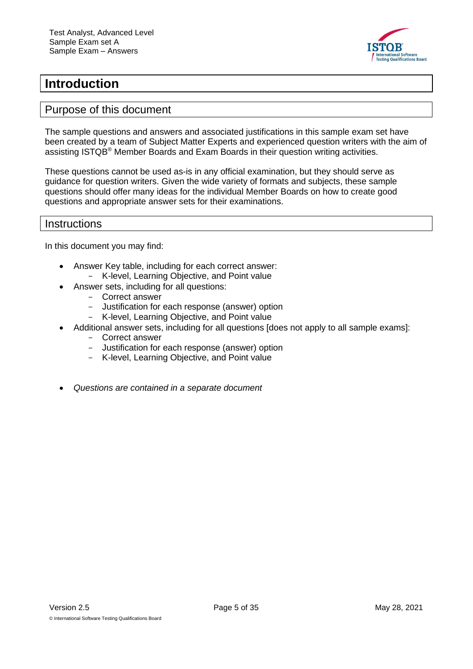

#### <span id="page-4-0"></span>**Introduction**

#### <span id="page-4-1"></span>Purpose of this document

The sample questions and answers and associated justifications in this sample exam set have been created by a team of Subject Matter Experts and experienced question writers with the aim of assisting ISTQB® Member Boards and Exam Boards in their question writing activities.

These questions cannot be used as-is in any official examination, but they should serve as guidance for question writers. Given the wide variety of formats and subjects, these sample questions should offer many ideas for the individual Member Boards on how to create good questions and appropriate answer sets for their examinations.

#### <span id="page-4-2"></span>**Instructions**

In this document you may find:

- Answer Key table, including for each correct answer: - K-level, Learning Objective, and Point value
- Answer sets, including for all questions:
	- Correct answer
	- Justification for each response (answer) option
	- K-level, Learning Objective, and Point value
- Additional answer sets, including for all questions [does not apply to all sample exams]:
	- Correct answer
	- Justification for each response (answer) option
	- K-level, Learning Objective, and Point value
- *Questions are contained in a separate document*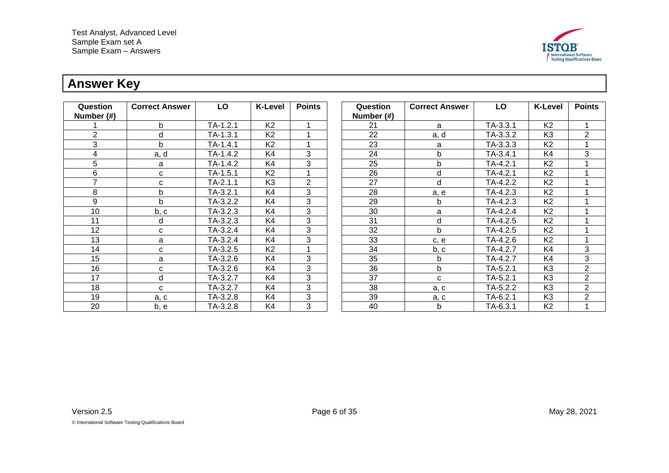

## **Answer Key**

<span id="page-5-0"></span>

| Question<br>Number (#) | <b>Correct Answer</b> | LO         | <b>K-Level</b> | <b>Points</b>  | Question<br>Number (#) | <b>Correct Answer</b> | LO         | <b>K-Level</b> | <b>Points</b>  |
|------------------------|-----------------------|------------|----------------|----------------|------------------------|-----------------------|------------|----------------|----------------|
|                        | <sub>b</sub>          | $TA-1.2.1$ | K <sub>2</sub> |                | 21                     | a                     | $TA-3.3.1$ | K <sub>2</sub> |                |
| 2                      | d                     | $TA-1.3.1$ | K <sub>2</sub> |                | 22                     | a, d                  | TA-3.3.2   | K <sub>3</sub> | $\overline{2}$ |
| 3                      | b                     | $TA-1.4.1$ | K <sub>2</sub> |                | 23                     | a                     | TA-3.3.3   | K <sub>2</sub> |                |
| 4                      | a, d                  | TA-1.4.2   | K4             | 3              | 24                     | $\mathbf b$           | $TA-3.4.1$ | K4             | 3              |
| 5                      | a                     | TA-1.4.2   | K4             | 3              | 25                     | b                     | $TA-4.2.1$ | K <sub>2</sub> |                |
| 6                      | C                     | $TA-1.5.1$ | K <sub>2</sub> |                | 26                     | d                     | TA-4.2.1   | K <sub>2</sub> |                |
| $\overline{7}$         | C                     | $TA-2.1.1$ | K <sub>3</sub> | $\overline{2}$ | 27                     | d                     | TA-4.2.2   | K <sub>2</sub> |                |
| 8                      | b                     | $TA-3.2.1$ | K4             | 3              | 28                     | a, e                  | TA-4.2.3   | K <sub>2</sub> |                |
| 9                      | $\mathsf{b}$          | TA-3.2.2   | K4             | 3              | 29                     | b                     | TA-4.2.3   | K <sub>2</sub> |                |
| 10                     | b, c                  | TA-3.2.3   | K4             | 3              | 30                     | a                     | TA-4.2.4   | K <sub>2</sub> |                |
| 11                     | d                     | $TA-3.2.3$ | K4             | 3              | 31                     | d                     | TA-4.2.5   | K <sub>2</sub> |                |
| 12                     | C                     | TA-3.2.4   | K4             | 3              | 32                     | $\mathsf{b}$          | TA-4.2.5   | K <sub>2</sub> |                |
| 13                     | a                     | TA-3.2.4   | K4             | 3              | 33                     | c, e                  | TA-4.2.6   | K <sub>2</sub> |                |
| 14                     | C                     | TA-3.2.5   | K <sub>2</sub> |                | 34                     | b, c                  | TA-4.2.7   | K <sub>4</sub> | 3              |
| 15                     | a                     | TA-3.2.6   | K4             | 3              | 35                     | b                     | TA-4.2.7   | K4             | 3              |
| 16                     | C                     | TA-3.2.6   | K4             | 3              | 36                     | b                     | TA-5.2.1   | K <sub>3</sub> | $\overline{2}$ |
| 17                     | d                     | TA-3.2.7   | K4             | 3              | 37                     | C                     | $TA-5.2.1$ | K <sub>3</sub> | $\overline{2}$ |
| 18                     | C                     | TA-3.2.7   | K4             | 3              | 38                     | a, c                  | TA-5.2.2   | K <sub>3</sub> | $\overline{2}$ |
| 19                     | a, c                  | TA-3.2.8   | K4             | 3              | 39                     | a, c                  | TA-6.2.1   | K <sub>3</sub> | $\overline{2}$ |
| 20                     | b, e                  | TA-3.2.8   | K4             | 3              | 40                     | b                     | TA-6.3.1   | K <sub>2</sub> |                |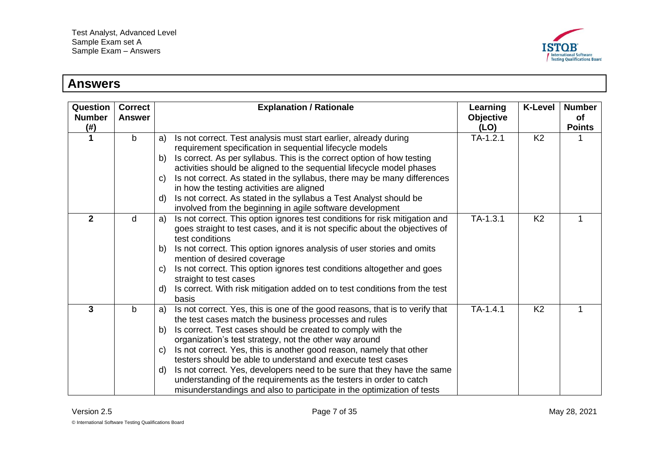

#### **Answers**

<span id="page-6-3"></span><span id="page-6-2"></span><span id="page-6-1"></span><span id="page-6-0"></span>

| Question<br><b>Number</b><br>$(\#)$ | <b>Correct</b><br><b>Answer</b> | <b>Explanation / Rationale</b>                                                                                                                                                                                                                                                                                                                                                                                                                                                                                                                                                                                                                          | Learning<br>Objective<br>(LO) | <b>K-Level</b> | <b>Number</b><br>of<br><b>Points</b> |
|-------------------------------------|---------------------------------|---------------------------------------------------------------------------------------------------------------------------------------------------------------------------------------------------------------------------------------------------------------------------------------------------------------------------------------------------------------------------------------------------------------------------------------------------------------------------------------------------------------------------------------------------------------------------------------------------------------------------------------------------------|-------------------------------|----------------|--------------------------------------|
| 1                                   | $\mathsf{b}$                    | Is not correct. Test analysis must start earlier, already during<br>a)<br>requirement specification in sequential lifecycle models<br>Is correct. As per syllabus. This is the correct option of how testing<br>b)<br>activities should be aligned to the sequential lifecycle model phases<br>Is not correct. As stated in the syllabus, there may be many differences<br>$\mathbf{C}$<br>in how the testing activities are aligned<br>Is not correct. As stated in the syllabus a Test Analyst should be<br>d)<br>involved from the beginning in agile software development                                                                           | $TA-1.2.1$                    | K <sub>2</sub> |                                      |
| $\mathbf{2}$                        | d                               | Is not correct. This option ignores test conditions for risk mitigation and<br>a)<br>goes straight to test cases, and it is not specific about the objectives of<br>test conditions<br>Is not correct. This option ignores analysis of user stories and omits<br>b)<br>mention of desired coverage<br>Is not correct. This option ignores test conditions altogether and goes<br>$\mathsf{C}$<br>straight to test cases<br>Is correct. With risk mitigation added on to test conditions from the test<br>d)<br>basis                                                                                                                                    | $TA-1.3.1$                    | K <sub>2</sub> | 1                                    |
| 3                                   | $\mathsf{b}$                    | Is not correct. Yes, this is one of the good reasons, that is to verify that<br>a)<br>the test cases match the business processes and rules<br>Is correct. Test cases should be created to comply with the<br>b)<br>organization's test strategy, not the other way around<br>Is not correct. Yes, this is another good reason, namely that other<br>C)<br>testers should be able to understand and execute test cases<br>Is not correct. Yes, developers need to be sure that they have the same<br>d)<br>understanding of the requirements as the testers in order to catch<br>misunderstandings and also to participate in the optimization of tests | $TA-1.4.1$                    | K <sub>2</sub> |                                      |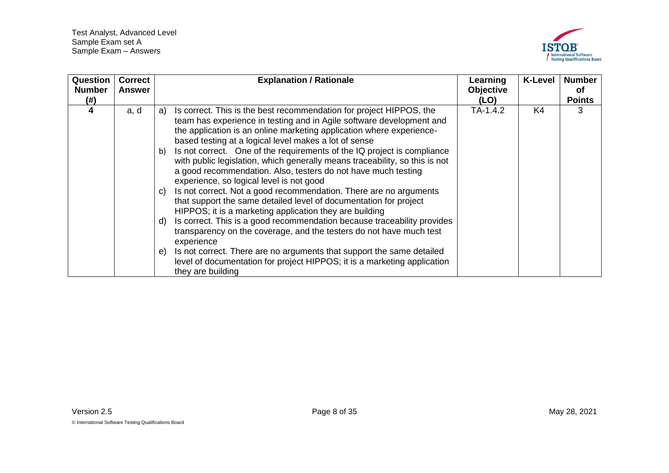

<span id="page-7-0"></span>

| Question<br><b>Number</b><br>(# ) | <b>Correct</b><br><b>Answer</b> | <b>Explanation / Rationale</b>                                                                                                                                                                                                                                                                                                                                                                                                                                                                                                                                                                                                                                                                                                                                                                                                                                        | Learning<br>Objective<br>(LO) | <b>K-Level</b> | <b>Number</b><br>0f<br><b>Points</b> |
|-----------------------------------|---------------------------------|-----------------------------------------------------------------------------------------------------------------------------------------------------------------------------------------------------------------------------------------------------------------------------------------------------------------------------------------------------------------------------------------------------------------------------------------------------------------------------------------------------------------------------------------------------------------------------------------------------------------------------------------------------------------------------------------------------------------------------------------------------------------------------------------------------------------------------------------------------------------------|-------------------------------|----------------|--------------------------------------|
| 4                                 | a, d                            | Is correct. This is the best recommendation for project HIPPOS, the<br>a)<br>team has experience in testing and in Agile software development and<br>the application is an online marketing application where experience-<br>based testing at a logical level makes a lot of sense<br>Is not correct. One of the requirements of the IQ project is compliance<br>b)<br>with public legislation, which generally means traceability, so this is not<br>a good recommendation. Also, testers do not have much testing<br>experience, so logical level is not good<br>Is not correct. Not a good recommendation. There are no arguments<br>$\mathbf{C}$<br>that support the same detailed level of documentation for project<br>HIPPOS; it is a marketing application they are building<br>Is correct. This is a good recommendation because traceability provides<br>d) | TA-1.4.2                      | K4             | 3                                    |
|                                   |                                 | transparency on the coverage, and the testers do not have much test<br>experience<br>Is not correct. There are no arguments that support the same detailed<br>e)<br>level of documentation for project HIPPOS; it is a marketing application<br>they are building                                                                                                                                                                                                                                                                                                                                                                                                                                                                                                                                                                                                     |                               |                |                                      |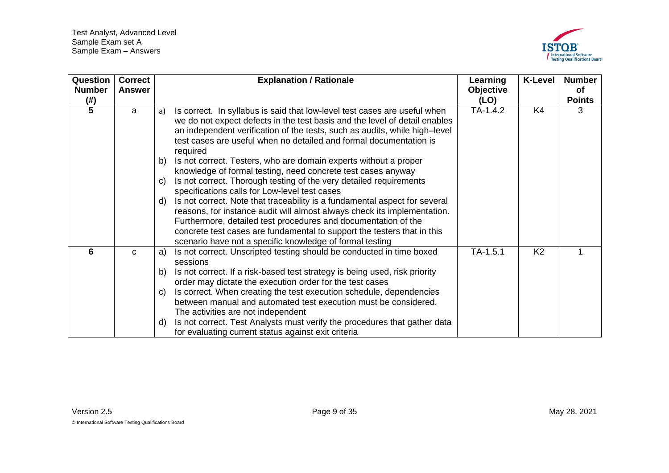

<span id="page-8-1"></span><span id="page-8-0"></span>

| Question<br><b>Number</b><br>$(\#)$ | <b>Correct</b><br><b>Answer</b> | <b>Explanation / Rationale</b>                                                                                                                                                                                                                                                                                                                                                                                                                                                                                                                                                                                                                                                                                                                                                                                                                                                                                                                                                          | Learning<br>Objective<br>(LO) | <b>K-Level</b> | <b>Number</b><br>of<br><b>Points</b> |
|-------------------------------------|---------------------------------|-----------------------------------------------------------------------------------------------------------------------------------------------------------------------------------------------------------------------------------------------------------------------------------------------------------------------------------------------------------------------------------------------------------------------------------------------------------------------------------------------------------------------------------------------------------------------------------------------------------------------------------------------------------------------------------------------------------------------------------------------------------------------------------------------------------------------------------------------------------------------------------------------------------------------------------------------------------------------------------------|-------------------------------|----------------|--------------------------------------|
| 5                                   | a                               | Is correct. In syllabus is said that low-level test cases are useful when<br>a)<br>we do not expect defects in the test basis and the level of detail enables<br>an independent verification of the tests, such as audits, while high-level<br>test cases are useful when no detailed and formal documentation is<br>required<br>Is not correct. Testers, who are domain experts without a proper<br>b)<br>knowledge of formal testing, need concrete test cases anyway<br>Is not correct. Thorough testing of the very detailed requirements<br>$\mathsf{C}$<br>specifications calls for Low-level test cases<br>Is not correct. Note that traceability is a fundamental aspect for several<br>d)<br>reasons, for instance audit will almost always check its implementation.<br>Furthermore, detailed test procedures and documentation of the<br>concrete test cases are fundamental to support the testers that in this<br>scenario have not a specific knowledge of formal testing | TA-1.4.2                      | K4             | 3                                    |
| 6                                   | $\mathbf C$                     | Is not correct. Unscripted testing should be conducted in time boxed<br>a)<br>sessions<br>Is not correct. If a risk-based test strategy is being used, risk priority<br>b)<br>order may dictate the execution order for the test cases<br>Is correct. When creating the test execution schedule, dependencies<br>$\mathbf{C}$<br>between manual and automated test execution must be considered.<br>The activities are not independent<br>Is not correct. Test Analysts must verify the procedures that gather data<br>d)<br>for evaluating current status against exit criteria                                                                                                                                                                                                                                                                                                                                                                                                        | $TA-1.5.1$                    | K <sub>2</sub> | 1                                    |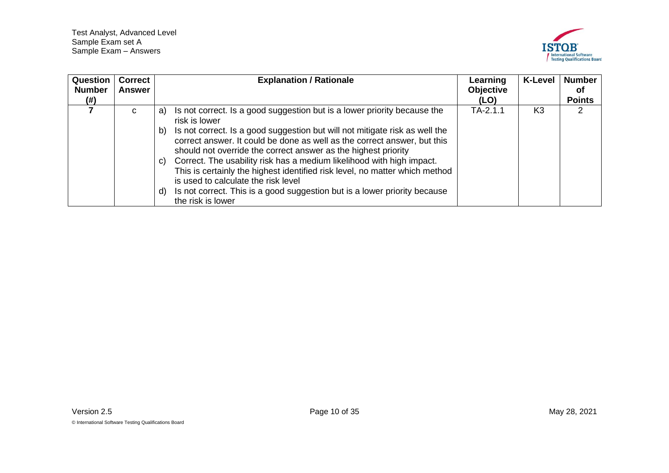

<span id="page-9-0"></span>

| <b>Question</b> | <b>Correct</b> | <b>Explanation / Rationale</b>                                                                                                                                                                                                  | Learning         | <b>K-Level</b> | <b>Number</b> |
|-----------------|----------------|---------------------------------------------------------------------------------------------------------------------------------------------------------------------------------------------------------------------------------|------------------|----------------|---------------|
| <b>Number</b>   | Answer         |                                                                                                                                                                                                                                 | <b>Objective</b> |                | 0f            |
| (# )            |                |                                                                                                                                                                                                                                 | (LO)             |                | <b>Points</b> |
|                 | C              | Is not correct. Is a good suggestion but is a lower priority because the<br>a)<br>risk is lower                                                                                                                                 | $TA-2.1.1$       | K <sub>3</sub> | 2             |
|                 |                | Is not correct. Is a good suggestion but will not mitigate risk as well the<br>b)<br>correct answer. It could be done as well as the correct answer, but this<br>should not override the correct answer as the highest priority |                  |                |               |
|                 |                | Correct. The usability risk has a medium likelihood with high impact.<br>C)<br>This is certainly the highest identified risk level, no matter which method<br>is used to calculate the risk level                               |                  |                |               |
|                 |                | Is not correct. This is a good suggestion but is a lower priority because<br>d)<br>the risk is lower                                                                                                                            |                  |                |               |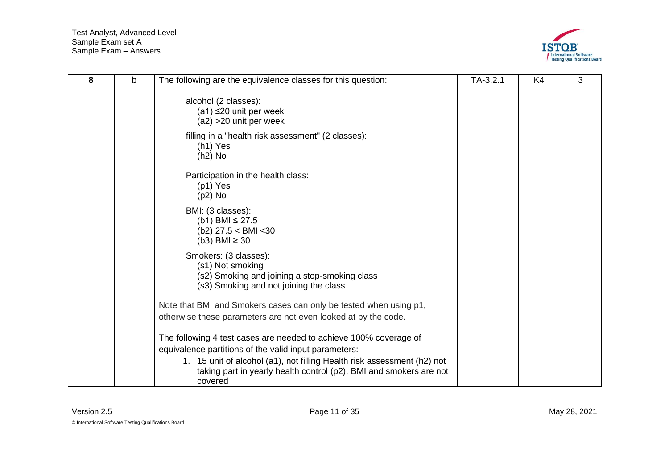

<span id="page-10-0"></span>

| 8 | b | The following are the equivalence classes for this question:                                                                                                                                                                                                                           | $TA-3.2.1$ | K <sub>4</sub> | 3 |
|---|---|----------------------------------------------------------------------------------------------------------------------------------------------------------------------------------------------------------------------------------------------------------------------------------------|------------|----------------|---|
|   |   | alcohol (2 classes):<br>$(a1) \leq 20$ unit per week<br>$(a2) > 20$ unit per week                                                                                                                                                                                                      |            |                |   |
|   |   | filling in a "health risk assessment" (2 classes):<br>$(h1)$ Yes<br>$(h2)$ No                                                                                                                                                                                                          |            |                |   |
|   |   | Participation in the health class:<br>$(p1)$ Yes<br>$(p2)$ No                                                                                                                                                                                                                          |            |                |   |
|   |   | BMI: (3 classes):<br>(b1) BMI ≤ 27.5<br>$(b2)$ 27.5 < BMI < 30<br>$(b3)$ BMI $\geq 30$                                                                                                                                                                                                 |            |                |   |
|   |   | Smokers: (3 classes):<br>(s1) Not smoking<br>(s2) Smoking and joining a stop-smoking class<br>(s3) Smoking and not joining the class                                                                                                                                                   |            |                |   |
|   |   | Note that BMI and Smokers cases can only be tested when using p1,<br>otherwise these parameters are not even looked at by the code.                                                                                                                                                    |            |                |   |
|   |   | The following 4 test cases are needed to achieve 100% coverage of<br>equivalence partitions of the valid input parameters:<br>1. 15 unit of alcohol (a1), not filling Health risk assessment (h2) not<br>taking part in yearly health control (p2), BMI and smokers are not<br>covered |            |                |   |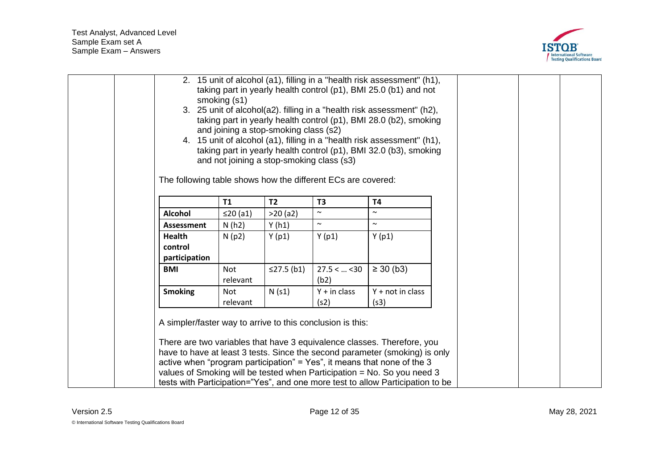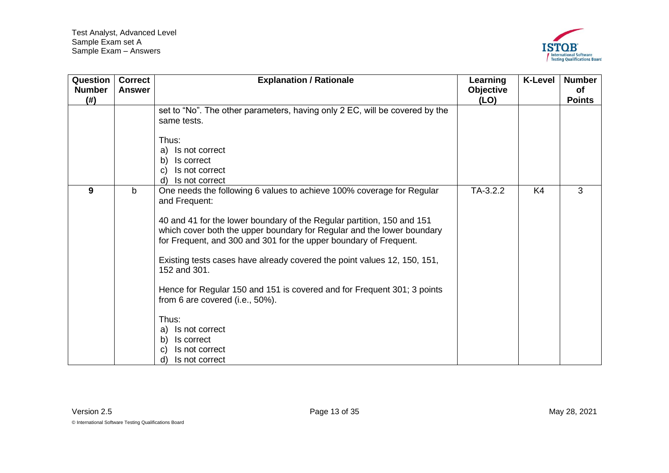

<span id="page-12-0"></span>

| Question<br><b>Number</b><br>(#) | <b>Correct</b><br><b>Answer</b> | <b>Explanation / Rationale</b>                                                                                                                                                                                                                                                                                                                                                                                                                                                                                                                                                                                                | Learning<br>Objective<br>(LO) | <b>K-Level</b> | <b>Number</b><br><b>of</b><br><b>Points</b> |
|----------------------------------|---------------------------------|-------------------------------------------------------------------------------------------------------------------------------------------------------------------------------------------------------------------------------------------------------------------------------------------------------------------------------------------------------------------------------------------------------------------------------------------------------------------------------------------------------------------------------------------------------------------------------------------------------------------------------|-------------------------------|----------------|---------------------------------------------|
|                                  |                                 | set to "No". The other parameters, having only 2 EC, will be covered by the<br>same tests.<br>Thus:<br>Is not correct<br>a)<br>Is correct<br>b)<br>Is not correct<br>C<br>Is not correct<br>d)                                                                                                                                                                                                                                                                                                                                                                                                                                |                               |                |                                             |
| 9                                | $\mathsf{b}$                    | One needs the following 6 values to achieve 100% coverage for Regular<br>and Frequent:<br>40 and 41 for the lower boundary of the Regular partition, 150 and 151<br>which cover both the upper boundary for Regular and the lower boundary<br>for Frequent, and 300 and 301 for the upper boundary of Frequent.<br>Existing tests cases have already covered the point values 12, 150, 151,<br>152 and 301.<br>Hence for Regular 150 and 151 is covered and for Frequent 301; 3 points<br>from 6 are covered (i.e., 50%).<br>Thus:<br>Is not correct<br>a)<br>Is correct<br>b)<br>Is not correct<br>С<br>Is not correct<br>d) | TA-3.2.2                      | K4             | 3                                           |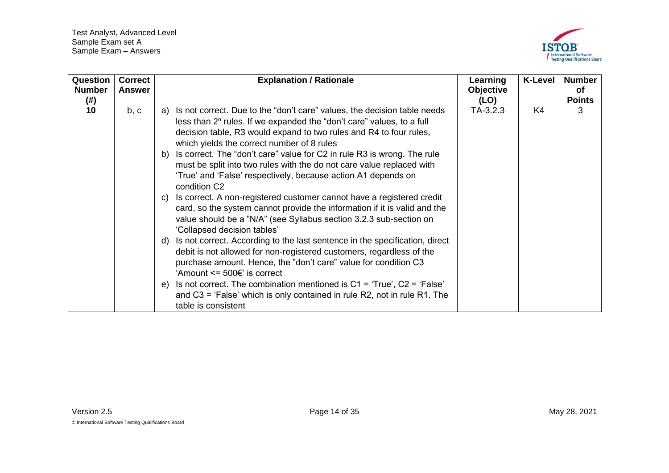

<span id="page-13-0"></span>

| Question<br><b>Number</b> | <b>Correct</b><br><b>Answer</b> | <b>Explanation / Rationale</b>                                                                                                                                                                                                                                                                                                                                                                                                                                                                                                                                                                                                                                                                                                                                                                   | Learning<br>Objective | <b>K-Level</b> | <b>Number</b><br>0f |
|---------------------------|---------------------------------|--------------------------------------------------------------------------------------------------------------------------------------------------------------------------------------------------------------------------------------------------------------------------------------------------------------------------------------------------------------------------------------------------------------------------------------------------------------------------------------------------------------------------------------------------------------------------------------------------------------------------------------------------------------------------------------------------------------------------------------------------------------------------------------------------|-----------------------|----------------|---------------------|
| (# )                      |                                 |                                                                                                                                                                                                                                                                                                                                                                                                                                                                                                                                                                                                                                                                                                                                                                                                  | (LO)                  |                | <b>Points</b>       |
| 10                        | b, c                            | Is not correct. Due to the "don't care" values, the decision table needs<br>a)<br>less than $2^n$ rules. If we expanded the "don't care" values, to a full<br>decision table, R3 would expand to two rules and R4 to four rules,<br>which yields the correct number of 8 rules<br>b) Is correct. The "don't care" value for C2 in rule R3 is wrong. The rule<br>must be split into two rules with the do not care value replaced with<br>'True' and 'False' respectively, because action A1 depends on<br>condition C <sub>2</sub><br>c) Is correct. A non-registered customer cannot have a registered credit<br>card, so the system cannot provide the information if it is valid and the<br>value should be a "N/A" (see Syllabus section 3.2.3 sub-section on<br>'Collapsed decision tables' | TA-3.2.3              | K4             | 3                   |
|                           |                                 | d) Is not correct. According to the last sentence in the specification, direct<br>debit is not allowed for non-registered customers, regardless of the<br>purchase amount. Hence, the "don't care" value for condition C3<br>'Amount $\leq 500 \in$ ' is correct<br>e) Is not correct. The combination mentioned is $C1 = 'True'$ , $C2 = 'False'$<br>and $C3$ = 'False' which is only contained in rule R2, not in rule R1. The<br>table is consistent                                                                                                                                                                                                                                                                                                                                          |                       |                |                     |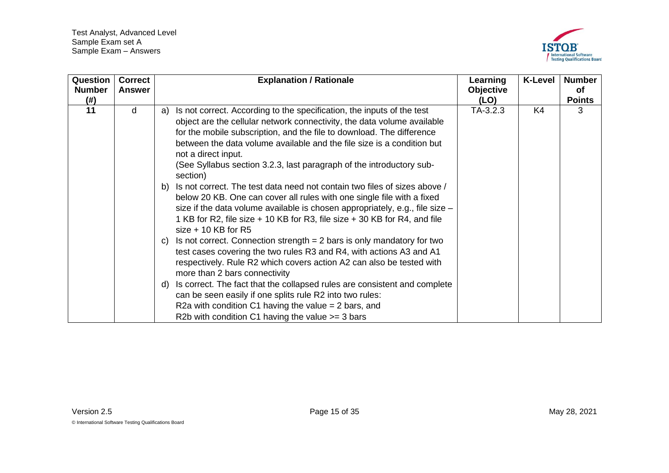

<span id="page-14-0"></span>

| Question<br><b>Number</b><br>(# ) | <b>Correct</b><br><b>Answer</b> | <b>Explanation / Rationale</b>                                                                                                                                                                                                                                                                                                                                                                                        | Learning<br>Objective<br>(LO) | <b>K-Level</b> | <b>Number</b><br>0f<br><b>Points</b> |
|-----------------------------------|---------------------------------|-----------------------------------------------------------------------------------------------------------------------------------------------------------------------------------------------------------------------------------------------------------------------------------------------------------------------------------------------------------------------------------------------------------------------|-------------------------------|----------------|--------------------------------------|
| 11                                | d                               | Is not correct. According to the specification, the inputs of the test<br>a)<br>object are the cellular network connectivity, the data volume available<br>for the mobile subscription, and the file to download. The difference<br>between the data volume available and the file size is a condition but<br>not a direct input.<br>(See Syllabus section 3.2.3, last paragraph of the introductory sub-<br>section) | TA-3.2.3                      | K4             | 3                                    |
|                                   |                                 | b) Is not correct. The test data need not contain two files of sizes above /<br>below 20 KB. One can cover all rules with one single file with a fixed<br>size if the data volume available is chosen appropriately, e.g., file size $-$<br>1 KB for R2, file size + 10 KB for R3, file size + 30 KB for R4, and file<br>$size + 10$ KB for R5                                                                        |                               |                |                                      |
|                                   |                                 | c) Is not correct. Connection strength $= 2$ bars is only mandatory for two<br>test cases covering the two rules R3 and R4, with actions A3 and A1<br>respectively. Rule R2 which covers action A2 can also be tested with<br>more than 2 bars connectivity                                                                                                                                                           |                               |                |                                      |
|                                   |                                 | d) Is correct. The fact that the collapsed rules are consistent and complete<br>can be seen easily if one splits rule R2 into two rules:<br>R2a with condition C1 having the value $=$ 2 bars, and<br>R2b with condition C1 having the value $\ge$ = 3 bars                                                                                                                                                           |                               |                |                                      |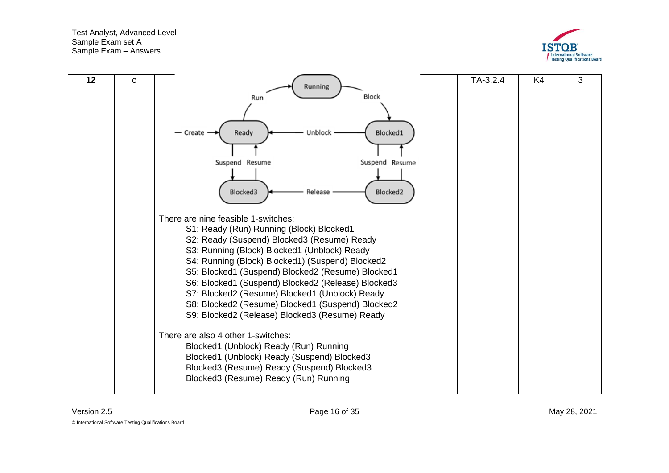

<span id="page-15-0"></span>

| 12 | C | Running<br>Block<br>Run<br>Ready<br>Blocked1<br>Unblock<br>Create<br>Suspend Resume<br>Suspend Resume<br>Blocked3<br>Release<br>Blocked <sub>2</sub><br>There are nine feasible 1-switches:<br>S1: Ready (Run) Running (Block) Blocked1<br>S2: Ready (Suspend) Blocked3 (Resume) Ready<br>S3: Running (Block) Blocked1 (Unblock) Ready<br>S4: Running (Block) Blocked1) (Suspend) Blocked2<br>S5: Blocked1 (Suspend) Blocked2 (Resume) Blocked1<br>S6: Blocked1 (Suspend) Blocked2 (Release) Blocked3<br>S7: Blocked2 (Resume) Blocked1 (Unblock) Ready<br>S8: Blocked2 (Resume) Blocked1 (Suspend) Blocked2<br>S9: Blocked2 (Release) Blocked3 (Resume) Ready | $TA-3.2.4$ | K4 | 3 |
|----|---|----------------------------------------------------------------------------------------------------------------------------------------------------------------------------------------------------------------------------------------------------------------------------------------------------------------------------------------------------------------------------------------------------------------------------------------------------------------------------------------------------------------------------------------------------------------------------------------------------------------------------------------------------------------|------------|----|---|
|    |   | There are also 4 other 1-switches:<br>Blocked1 (Unblock) Ready (Run) Running<br>Blocked1 (Unblock) Ready (Suspend) Blocked3<br>Blocked3 (Resume) Ready (Suspend) Blocked3<br>Blocked3 (Resume) Ready (Run) Running                                                                                                                                                                                                                                                                                                                                                                                                                                             |            |    |   |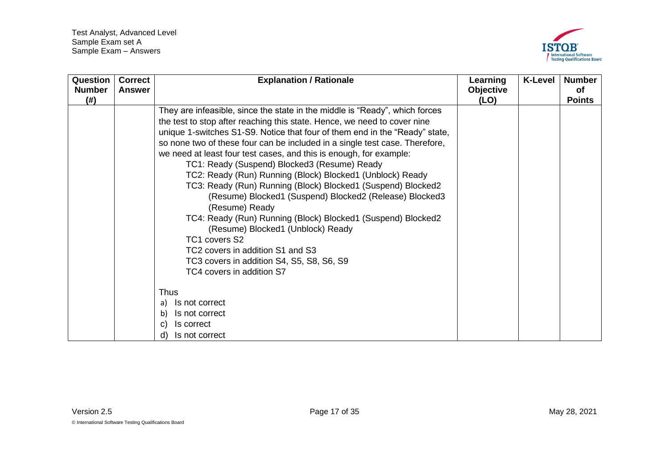

| <b>Question</b><br><b>Number</b><br>(#) | <b>Correct</b><br><b>Answer</b> | <b>Explanation / Rationale</b>                                                                                                                                                                                                                                                                                                                                                                                                                                                                                                                                                                                                                                                                                                                                                                                                                                                            | Learning<br><b>Objective</b><br>(LO) | <b>K-Level</b> | <b>Number</b><br><b>of</b><br><b>Points</b> |
|-----------------------------------------|---------------------------------|-------------------------------------------------------------------------------------------------------------------------------------------------------------------------------------------------------------------------------------------------------------------------------------------------------------------------------------------------------------------------------------------------------------------------------------------------------------------------------------------------------------------------------------------------------------------------------------------------------------------------------------------------------------------------------------------------------------------------------------------------------------------------------------------------------------------------------------------------------------------------------------------|--------------------------------------|----------------|---------------------------------------------|
|                                         |                                 | They are infeasible, since the state in the middle is "Ready", which forces<br>the test to stop after reaching this state. Hence, we need to cover nine<br>unique 1-switches S1-S9. Notice that four of them end in the "Ready" state,<br>so none two of these four can be included in a single test case. Therefore,<br>we need at least four test cases, and this is enough, for example:<br>TC1: Ready (Suspend) Blocked3 (Resume) Ready<br>TC2: Ready (Run) Running (Block) Blocked1 (Unblock) Ready<br>TC3: Ready (Run) Running (Block) Blocked1 (Suspend) Blocked2<br>(Resume) Blocked1 (Suspend) Blocked2 (Release) Blocked3<br>(Resume) Ready<br>TC4: Ready (Run) Running (Block) Blocked1 (Suspend) Blocked2<br>(Resume) Blocked1 (Unblock) Ready<br>TC1 covers S2<br>TC2 covers in addition S1 and S3<br>TC3 covers in addition S4, S5, S8, S6, S9<br>TC4 covers in addition S7 |                                      |                |                                             |
|                                         |                                 | <b>Thus</b><br>Is not correct<br>a)<br>Is not correct<br>b)<br>Is correct<br>$\mathbf{C}$<br>Is not correct<br>d)                                                                                                                                                                                                                                                                                                                                                                                                                                                                                                                                                                                                                                                                                                                                                                         |                                      |                |                                             |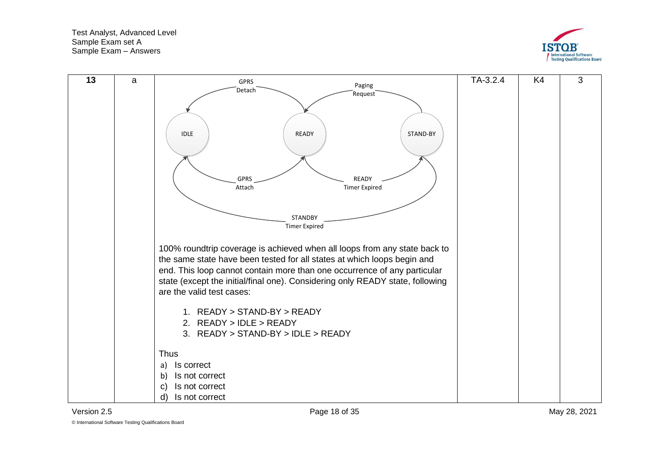



<span id="page-17-0"></span>

© International Software Testing Qualifications Board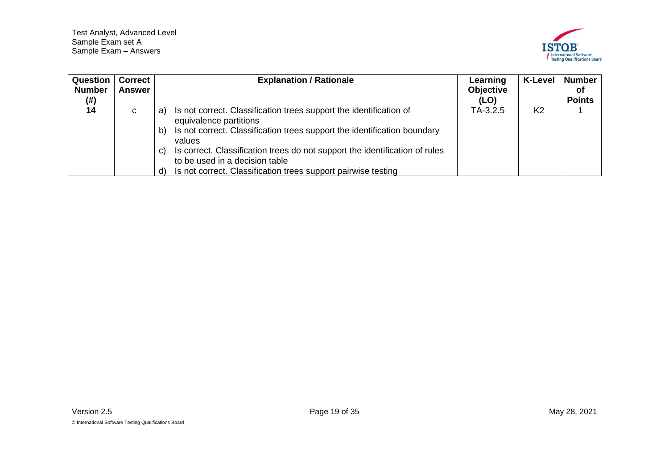

<span id="page-18-0"></span>

| <b>Question</b><br><b>Number</b><br>(# ) | <b>Correct</b><br>Answer | <b>Explanation / Rationale</b>                                                                                                                                                                                                                                                                                                                                                               | Learning<br><b>Objective</b><br>(LO) | <b>K-Level</b> | <b>Number</b><br>0f<br><b>Points</b> |
|------------------------------------------|--------------------------|----------------------------------------------------------------------------------------------------------------------------------------------------------------------------------------------------------------------------------------------------------------------------------------------------------------------------------------------------------------------------------------------|--------------------------------------|----------------|--------------------------------------|
| 14                                       | C                        | Is not correct. Classification trees support the identification of<br>a)<br>equivalence partitions<br>Is not correct. Classification trees support the identification boundary<br>b)<br>values<br>Is correct. Classification trees do not support the identification of rules<br>C)<br>to be used in a decision table<br>Is not correct. Classification trees support pairwise testing<br>d) | $TA-3.2.5$                           | K <sub>2</sub> |                                      |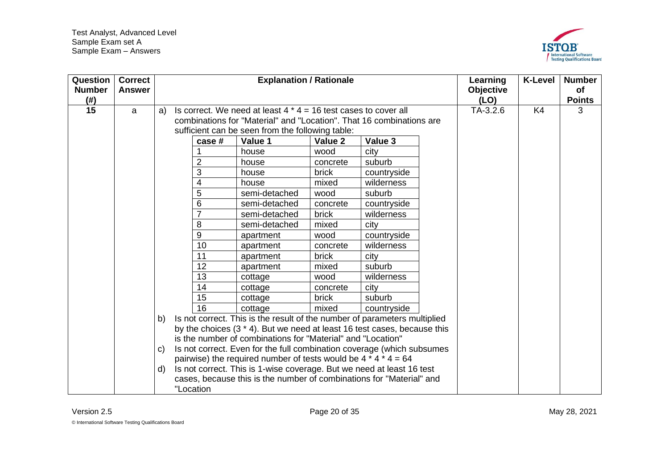

<span id="page-19-0"></span>

| Question<br><b>Number</b><br>$($ # $)$ | <b>Correct</b><br><b>Answer</b> |              |                | <b>Explanation / Rationale</b>                                              |          |             | Learning<br><b>Objective</b><br>(LO) | <b>K-Level</b> | <b>Number</b><br>of<br><b>Points</b> |
|----------------------------------------|---------------------------------|--------------|----------------|-----------------------------------------------------------------------------|----------|-------------|--------------------------------------|----------------|--------------------------------------|
| 15                                     | a                               | a)           |                | Is correct. We need at least $4 * 4 = 16$ test cases to cover all           |          |             | TA-3.2.6                             | K4             | 3                                    |
|                                        |                                 |              |                | combinations for "Material" and "Location". That 16 combinations are        |          |             |                                      |                |                                      |
|                                        |                                 |              |                | sufficient can be seen from the following table:                            |          |             |                                      |                |                                      |
|                                        |                                 |              | case #         | Value 1                                                                     | Value 2  | Value 3     |                                      |                |                                      |
|                                        |                                 |              |                | house                                                                       | wood     | city        |                                      |                |                                      |
|                                        |                                 |              | $\overline{2}$ | house                                                                       | concrete | suburb      |                                      |                |                                      |
|                                        |                                 |              | 3              | house                                                                       | brick    | countryside |                                      |                |                                      |
|                                        |                                 |              | 4              | house                                                                       | mixed    | wilderness  |                                      |                |                                      |
|                                        |                                 |              | 5              | semi-detached                                                               | wood     | suburb      |                                      |                |                                      |
|                                        |                                 |              | 6              | semi-detached                                                               | concrete | countryside |                                      |                |                                      |
|                                        |                                 |              | $\overline{7}$ | semi-detached                                                               | brick    | wilderness  |                                      |                |                                      |
|                                        |                                 |              | 8              | semi-detached                                                               | mixed    | city        |                                      |                |                                      |
|                                        |                                 |              | 9              | apartment                                                                   | wood     | countryside |                                      |                |                                      |
|                                        |                                 |              | 10             | apartment                                                                   | concrete | wilderness  |                                      |                |                                      |
|                                        |                                 |              | 11             | apartment                                                                   | brick    | city        |                                      |                |                                      |
|                                        |                                 |              | 12             | apartment                                                                   | mixed    | suburb      |                                      |                |                                      |
|                                        |                                 |              | 13             | cottage                                                                     | wood     | wilderness  |                                      |                |                                      |
|                                        |                                 |              | 14             | cottage                                                                     | concrete | city        |                                      |                |                                      |
|                                        |                                 |              | 15             | cottage                                                                     | brick    | suburb      |                                      |                |                                      |
|                                        |                                 |              | 16             | cottage                                                                     | mixed    | countryside |                                      |                |                                      |
|                                        |                                 | b)           |                | Is not correct. This is the result of the number of parameters multiplied   |          |             |                                      |                |                                      |
|                                        |                                 |              |                | by the choices $(3 * 4)$ . But we need at least 16 test cases, because this |          |             |                                      |                |                                      |
|                                        |                                 |              |                | is the number of combinations for "Material" and "Location"                 |          |             |                                      |                |                                      |
|                                        |                                 | $\mathbf{C}$ |                | Is not correct. Even for the full combination coverage (which subsumes      |          |             |                                      |                |                                      |
|                                        |                                 |              |                | pairwise) the required number of tests would be $4 * 4 * 4 = 64$            |          |             |                                      |                |                                      |
|                                        |                                 | $\mathsf{d}$ |                | Is not correct. This is 1-wise coverage. But we need at least 16 test       |          |             |                                      |                |                                      |
|                                        |                                 |              |                | cases, because this is the number of combinations for "Material" and        |          |             |                                      |                |                                      |
|                                        |                                 |              | "Location      |                                                                             |          |             |                                      |                |                                      |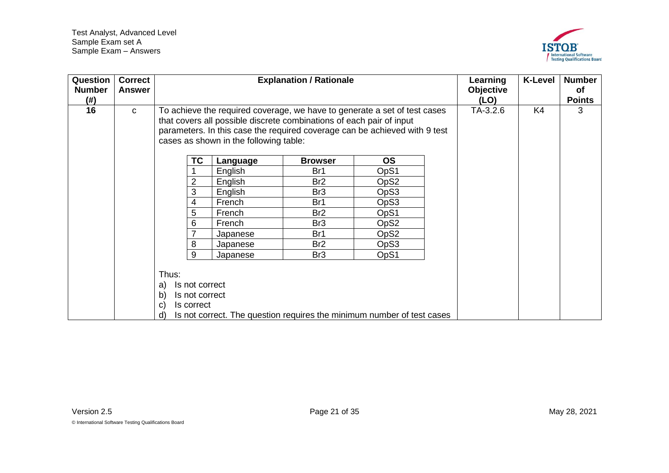

<span id="page-20-0"></span>

| Question<br><b>Number</b><br>(#) | <b>Correct</b><br><b>Answer</b> |                                                                                           |                                        | <b>Explanation / Rationale</b>                                       |                                                                                                                                                         | Learning<br>Objective<br>(LO) | <b>K-Level</b> | <b>Number</b><br><b>of</b><br><b>Points</b> |
|----------------------------------|---------------------------------|-------------------------------------------------------------------------------------------|----------------------------------------|----------------------------------------------------------------------|---------------------------------------------------------------------------------------------------------------------------------------------------------|-------------------------------|----------------|---------------------------------------------|
| 16                               | $\mathbf C$                     |                                                                                           | cases as shown in the following table: | that covers all possible discrete combinations of each pair of input | To achieve the required coverage, we have to generate a set of test cases<br>parameters. In this case the required coverage can be achieved with 9 test | TA-3.2.6                      | K4             | 3                                           |
|                                  |                                 | <b>TC</b>                                                                                 | Language                               | <b>Browser</b>                                                       | <b>OS</b>                                                                                                                                               |                               |                |                                             |
|                                  |                                 |                                                                                           | English                                | Br1                                                                  | OpS1                                                                                                                                                    |                               |                |                                             |
|                                  |                                 | $\overline{2}$                                                                            | English                                | Br <sub>2</sub>                                                      | OpS2                                                                                                                                                    |                               |                |                                             |
|                                  |                                 | 3                                                                                         | English                                | Br <sub>3</sub>                                                      | OpS3                                                                                                                                                    |                               |                |                                             |
|                                  |                                 | 4                                                                                         | French                                 | Br1                                                                  | OpS3                                                                                                                                                    |                               |                |                                             |
|                                  |                                 | 5                                                                                         | French                                 | Br <sub>2</sub>                                                      | OpS1                                                                                                                                                    |                               |                |                                             |
|                                  |                                 | 6                                                                                         | French                                 | Br <sub>3</sub>                                                      | OpS <sub>2</sub>                                                                                                                                        |                               |                |                                             |
|                                  |                                 |                                                                                           | Japanese                               | Br1                                                                  | OpS <sub>2</sub>                                                                                                                                        |                               |                |                                             |
|                                  |                                 | 8                                                                                         | Japanese                               | Br <sub>2</sub>                                                      | OpS3                                                                                                                                                    |                               |                |                                             |
|                                  |                                 | 9                                                                                         | Japanese                               | Br <sub>3</sub>                                                      | OpS1                                                                                                                                                    |                               |                |                                             |
|                                  |                                 | Thus:<br>Is not correct<br>a)<br>b)<br>Is not correct<br>Is correct<br>$\mathbf{C}$<br>d) |                                        |                                                                      | Is not correct. The question requires the minimum number of test cases                                                                                  |                               |                |                                             |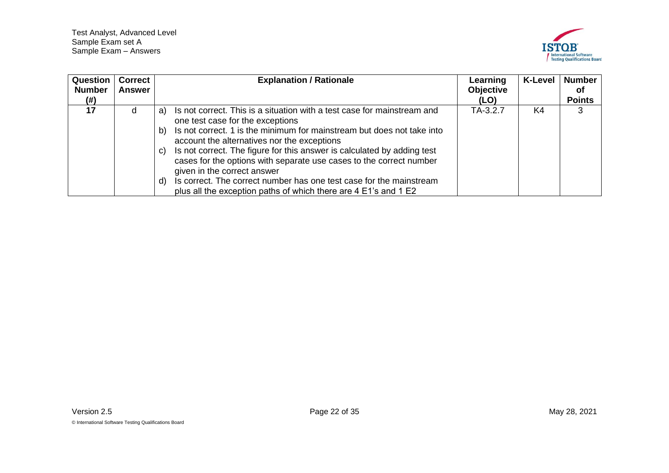

<span id="page-21-0"></span>

| Question<br><b>Number</b> | Correct<br>Answer | <b>Explanation / Rationale</b>                                                                                                                                                                                                                                                                                                                                                                                                          | Learning<br><b>Objective</b> | <b>K-Level</b> | <b>Number</b><br>οf |
|---------------------------|-------------------|-----------------------------------------------------------------------------------------------------------------------------------------------------------------------------------------------------------------------------------------------------------------------------------------------------------------------------------------------------------------------------------------------------------------------------------------|------------------------------|----------------|---------------------|
| (# )                      |                   |                                                                                                                                                                                                                                                                                                                                                                                                                                         | (LO)                         |                | <b>Points</b>       |
| 17                        | d                 | Is not correct. This is a situation with a test case for mainstream and<br>a)<br>one test case for the exceptions<br>Is not correct. 1 is the minimum for mainstream but does not take into<br>b)<br>account the alternatives nor the exceptions<br>Is not correct. The figure for this answer is calculated by adding test<br>C)<br>cases for the options with separate use cases to the correct number<br>given in the correct answer | TA-3.2.7                     | K4             | 3                   |
|                           |                   | Is correct. The correct number has one test case for the mainstream<br>d)<br>plus all the exception paths of which there are 4 E1's and 1 E2                                                                                                                                                                                                                                                                                            |                              |                |                     |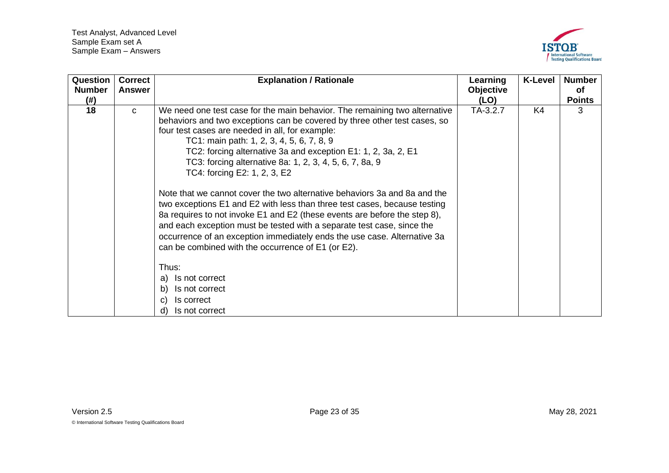

<span id="page-22-0"></span>

| Question      | <b>Correct</b> | <b>Explanation / Rationale</b>                                                                                                                                                                                                                                                                                                                                                                                                                                                                                                                                                                                                                                                                                                                                                                                                                                         | Learning  | <b>K-Level</b> | <b>Number</b> |
|---------------|----------------|------------------------------------------------------------------------------------------------------------------------------------------------------------------------------------------------------------------------------------------------------------------------------------------------------------------------------------------------------------------------------------------------------------------------------------------------------------------------------------------------------------------------------------------------------------------------------------------------------------------------------------------------------------------------------------------------------------------------------------------------------------------------------------------------------------------------------------------------------------------------|-----------|----------------|---------------|
| <b>Number</b> | <b>Answer</b>  |                                                                                                                                                                                                                                                                                                                                                                                                                                                                                                                                                                                                                                                                                                                                                                                                                                                                        | Objective |                | <b>of</b>     |
| (# )          |                |                                                                                                                                                                                                                                                                                                                                                                                                                                                                                                                                                                                                                                                                                                                                                                                                                                                                        | (LO)      |                | <b>Points</b> |
| 18            | C              | We need one test case for the main behavior. The remaining two alternative<br>behaviors and two exceptions can be covered by three other test cases, so<br>four test cases are needed in all, for example:<br>TC1: main path: 1, 2, 3, 4, 5, 6, 7, 8, 9<br>TC2: forcing alternative 3a and exception E1: 1, 2, 3a, 2, E1<br>TC3: forcing alternative 8a: 1, 2, 3, 4, 5, 6, 7, 8a, 9<br>TC4: forcing E2: 1, 2, 3, E2<br>Note that we cannot cover the two alternative behaviors 3a and 8a and the<br>two exceptions E1 and E2 with less than three test cases, because testing<br>8a requires to not invoke E1 and E2 (these events are before the step 8),<br>and each exception must be tested with a separate test case, since the<br>occurrence of an exception immediately ends the use case. Alternative 3a<br>can be combined with the occurrence of E1 (or E2). | TA-3.2.7  | K4             | 3             |
|               |                | Thus:                                                                                                                                                                                                                                                                                                                                                                                                                                                                                                                                                                                                                                                                                                                                                                                                                                                                  |           |                |               |
|               |                | Is not correct<br>a)                                                                                                                                                                                                                                                                                                                                                                                                                                                                                                                                                                                                                                                                                                                                                                                                                                                   |           |                |               |
|               |                | Is not correct<br>b)                                                                                                                                                                                                                                                                                                                                                                                                                                                                                                                                                                                                                                                                                                                                                                                                                                                   |           |                |               |
|               |                | Is correct<br>$\mathbf{C}$                                                                                                                                                                                                                                                                                                                                                                                                                                                                                                                                                                                                                                                                                                                                                                                                                                             |           |                |               |
|               |                | Is not correct<br>d)                                                                                                                                                                                                                                                                                                                                                                                                                                                                                                                                                                                                                                                                                                                                                                                                                                                   |           |                |               |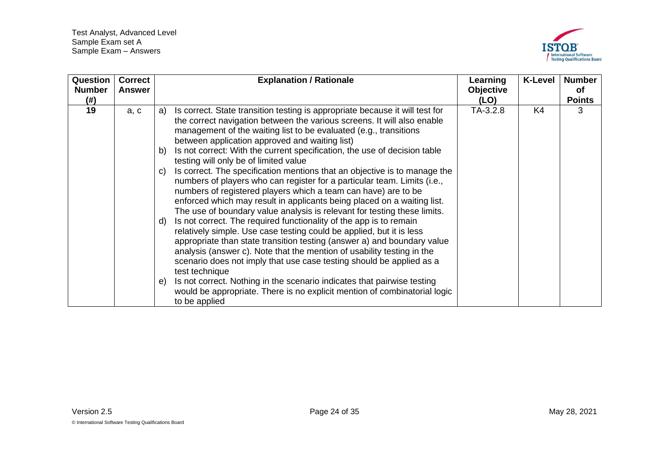

<span id="page-23-0"></span>

| <b>Question</b><br><b>Number</b><br>(# ) | <b>Correct</b><br><b>Answer</b> | <b>Explanation / Rationale</b>                                                                                                                                                                                                                                                                                                                                                                                                          | Learning<br><b>Objective</b><br>(LO) | <b>K-Level</b> | <b>Number</b><br>оf<br><b>Points</b> |
|------------------------------------------|---------------------------------|-----------------------------------------------------------------------------------------------------------------------------------------------------------------------------------------------------------------------------------------------------------------------------------------------------------------------------------------------------------------------------------------------------------------------------------------|--------------------------------------|----------------|--------------------------------------|
| 19                                       | a, c                            | Is correct. State transition testing is appropriate because it will test for<br>a)<br>the correct navigation between the various screens. It will also enable<br>management of the waiting list to be evaluated (e.g., transitions<br>between application approved and waiting list)<br>Is not correct: With the current specification, the use of decision table<br>b)                                                                 | TA-3.2.8                             | K4             | 3                                    |
|                                          |                                 | testing will only be of limited value<br>Is correct. The specification mentions that an objective is to manage the<br>$\mathbf{C}$<br>numbers of players who can register for a particular team. Limits (i.e.,<br>numbers of registered players which a team can have) are to be<br>enforced which may result in applicants being placed on a waiting list.<br>The use of boundary value analysis is relevant for testing these limits. |                                      |                |                                      |
|                                          |                                 | Is not correct. The required functionality of the app is to remain<br>d)<br>relatively simple. Use case testing could be applied, but it is less<br>appropriate than state transition testing (answer a) and boundary value<br>analysis (answer c). Note that the mention of usability testing in the<br>scenario does not imply that use case testing should be applied as a<br>test technique                                         |                                      |                |                                      |
|                                          |                                 | Is not correct. Nothing in the scenario indicates that pairwise testing<br>$\Theta$<br>would be appropriate. There is no explicit mention of combinatorial logic<br>to be applied                                                                                                                                                                                                                                                       |                                      |                |                                      |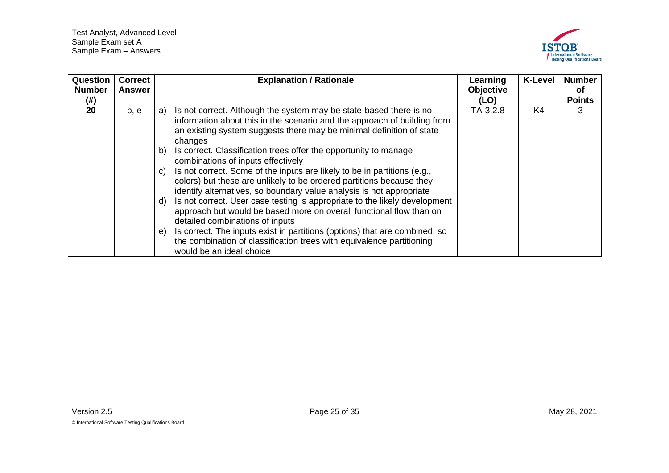

<span id="page-24-0"></span>

| <b>Question</b><br><b>Number</b><br>(# ) | <b>Correct</b><br><b>Answer</b> | <b>Explanation / Rationale</b>                                                                                                                                                                                                                                                                                                                                                                                                                                                                                                                                                                                                                                                                                                                                                                                                                                                                                                                                                             | Learning<br>Objective<br>(LO) | <b>K-Level</b> | <b>Number</b><br>οf<br><b>Points</b> |
|------------------------------------------|---------------------------------|--------------------------------------------------------------------------------------------------------------------------------------------------------------------------------------------------------------------------------------------------------------------------------------------------------------------------------------------------------------------------------------------------------------------------------------------------------------------------------------------------------------------------------------------------------------------------------------------------------------------------------------------------------------------------------------------------------------------------------------------------------------------------------------------------------------------------------------------------------------------------------------------------------------------------------------------------------------------------------------------|-------------------------------|----------------|--------------------------------------|
| 20                                       | b, e                            | Is not correct. Although the system may be state-based there is no<br>a)<br>information about this in the scenario and the approach of building from<br>an existing system suggests there may be minimal definition of state<br>changes<br>Is correct. Classification trees offer the opportunity to manage<br>b)<br>combinations of inputs effectively<br>Is not correct. Some of the inputs are likely to be in partitions (e.g.,<br>$\mathsf{C}$<br>colors) but these are unlikely to be ordered partitions because they<br>identify alternatives, so boundary value analysis is not appropriate<br>Is not correct. User case testing is appropriate to the likely development<br>d)<br>approach but would be based more on overall functional flow than on<br>detailed combinations of inputs<br>Is correct. The inputs exist in partitions (options) that are combined, so<br>e)<br>the combination of classification trees with equivalence partitioning<br>would be an ideal choice | TA-3.2.8                      | K4             | 3                                    |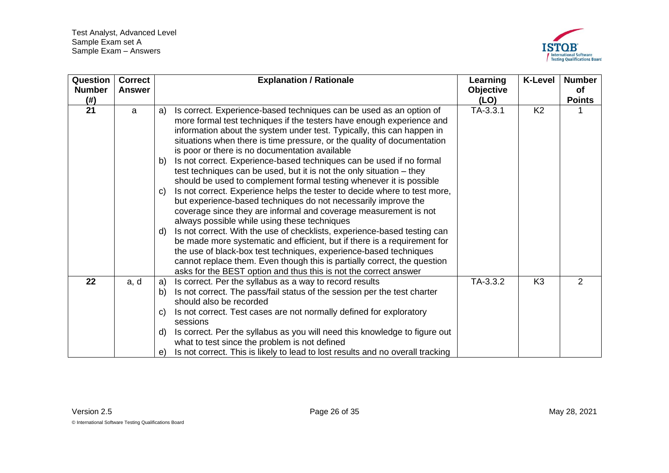

<span id="page-25-1"></span><span id="page-25-0"></span>

| Question<br><b>Number</b> | <b>Correct</b><br><b>Answer</b> | <b>Explanation / Rationale</b>                                                                                                                                                                                                                                                                                                                                                                                                                                                                   | Learning<br><b>Objective</b> | <b>K-Level</b> | <b>Number</b><br><b>of</b> |
|---------------------------|---------------------------------|--------------------------------------------------------------------------------------------------------------------------------------------------------------------------------------------------------------------------------------------------------------------------------------------------------------------------------------------------------------------------------------------------------------------------------------------------------------------------------------------------|------------------------------|----------------|----------------------------|
| (# )                      |                                 |                                                                                                                                                                                                                                                                                                                                                                                                                                                                                                  | (LO)                         |                | <b>Points</b>              |
| 21                        | a                               | Is correct. Experience-based techniques can be used as an option of<br>a)<br>more formal test techniques if the testers have enough experience and<br>information about the system under test. Typically, this can happen in<br>situations when there is time pressure, or the quality of documentation<br>is poor or there is no documentation available                                                                                                                                        | TA-3.3.1                     | K <sub>2</sub> |                            |
|                           |                                 | Is not correct. Experience-based techniques can be used if no formal<br>b)<br>test techniques can be used, but it is not the only situation – they<br>should be used to complement formal testing whenever it is possible                                                                                                                                                                                                                                                                        |                              |                |                            |
|                           |                                 | Is not correct. Experience helps the tester to decide where to test more,<br>C)<br>but experience-based techniques do not necessarily improve the<br>coverage since they are informal and coverage measurement is not<br>always possible while using these techniques                                                                                                                                                                                                                            |                              |                |                            |
|                           |                                 | Is not correct. With the use of checklists, experience-based testing can<br>d)<br>be made more systematic and efficient, but if there is a requirement for<br>the use of black-box test techniques, experience-based techniques<br>cannot replace them. Even though this is partially correct, the question<br>asks for the BEST option and thus this is not the correct answer                                                                                                                  |                              |                |                            |
| 22                        | a, d                            | Is correct. Per the syllabus as a way to record results<br>a)<br>Is not correct. The pass/fail status of the session per the test charter<br>b)<br>should also be recorded<br>Is not correct. Test cases are not normally defined for exploratory<br>C)<br>sessions<br>Is correct. Per the syllabus as you will need this knowledge to figure out<br>d)<br>what to test since the problem is not defined<br>Is not correct. This is likely to lead to lost results and no overall tracking<br>e) | TA-3.3.2                     | K <sub>3</sub> | 2                          |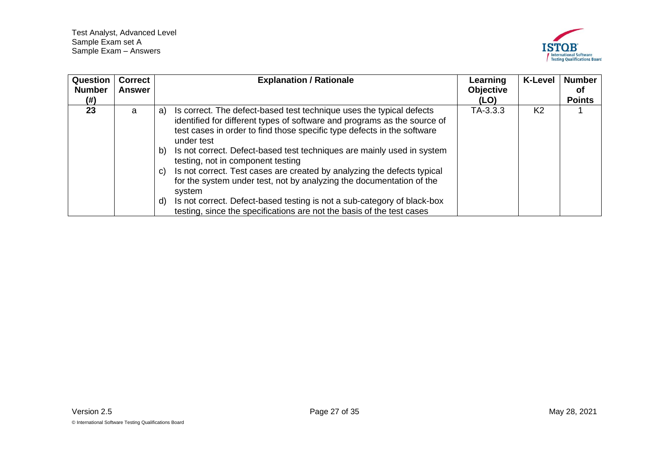

<span id="page-26-0"></span>

| Question<br><b>Number</b><br>(#) | <b>Correct</b><br><b>Answer</b> | <b>Explanation / Rationale</b>                                                                                                                                                                                                                                                                                                                                                                                                                                                                                                                                                                                                                                                                    | Learning<br><b>Objective</b><br>(LO) | <b>K-Level</b> | <b>Number</b><br>οf<br><b>Points</b> |
|----------------------------------|---------------------------------|---------------------------------------------------------------------------------------------------------------------------------------------------------------------------------------------------------------------------------------------------------------------------------------------------------------------------------------------------------------------------------------------------------------------------------------------------------------------------------------------------------------------------------------------------------------------------------------------------------------------------------------------------------------------------------------------------|--------------------------------------|----------------|--------------------------------------|
| 23                               | a                               | Is correct. The defect-based test technique uses the typical defects<br>a)<br>identified for different types of software and programs as the source of<br>test cases in order to find those specific type defects in the software<br>under test<br>Is not correct. Defect-based test techniques are mainly used in system<br>b)<br>testing, not in component testing<br>Is not correct. Test cases are created by analyzing the defects typical<br>C)<br>for the system under test, not by analyzing the documentation of the<br>system<br>Is not correct. Defect-based testing is not a sub-category of black-box<br>d)<br>testing, since the specifications are not the basis of the test cases | TA-3.3.3                             | K <sub>2</sub> |                                      |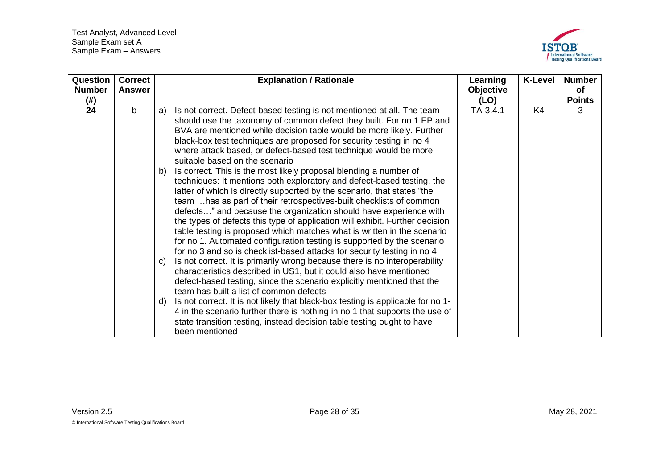

<span id="page-27-0"></span>

| Question<br><b>Number</b><br>(# ) | <b>Correct</b><br><b>Answer</b> | <b>Explanation / Rationale</b>                                                                                                                                                                                                                                                                                                                                                                                                                                                                                                                                                                                                                                                                                                                                                                                                                                                                                   | Learning<br>Objective<br>(LO) | <b>K-Level</b> | <b>Number</b><br><b>of</b><br><b>Points</b> |
|-----------------------------------|---------------------------------|------------------------------------------------------------------------------------------------------------------------------------------------------------------------------------------------------------------------------------------------------------------------------------------------------------------------------------------------------------------------------------------------------------------------------------------------------------------------------------------------------------------------------------------------------------------------------------------------------------------------------------------------------------------------------------------------------------------------------------------------------------------------------------------------------------------------------------------------------------------------------------------------------------------|-------------------------------|----------------|---------------------------------------------|
| 24                                | b                               | Is not correct. Defect-based testing is not mentioned at all. The team<br>a)<br>should use the taxonomy of common defect they built. For no 1 EP and<br>BVA are mentioned while decision table would be more likely. Further<br>black-box test techniques are proposed for security testing in no 4<br>where attack based, or defect-based test technique would be more<br>suitable based on the scenario<br>Is correct. This is the most likely proposal blending a number of<br>b)<br>techniques: It mentions both exploratory and defect-based testing, the<br>latter of which is directly supported by the scenario, that states "the                                                                                                                                                                                                                                                                        | $TA-3.4.1$                    | K4             | 3                                           |
|                                   |                                 | team  has as part of their retrospectives-built checklists of common<br>defects" and because the organization should have experience with<br>the types of defects this type of application will exhibit. Further decision<br>table testing is proposed which matches what is written in the scenario<br>for no 1. Automated configuration testing is supported by the scenario<br>for no 3 and so is checklist-based attacks for security testing in no 4<br>Is not correct. It is primarily wrong because there is no interoperability<br>C)<br>characteristics described in US1, but it could also have mentioned<br>defect-based testing, since the scenario explicitly mentioned that the<br>team has built a list of common defects<br>Is not correct. It is not likely that black-box testing is applicable for no 1-<br>d)<br>4 in the scenario further there is nothing in no 1 that supports the use of |                               |                |                                             |
|                                   |                                 | state transition testing, instead decision table testing ought to have<br>been mentioned                                                                                                                                                                                                                                                                                                                                                                                                                                                                                                                                                                                                                                                                                                                                                                                                                         |                               |                |                                             |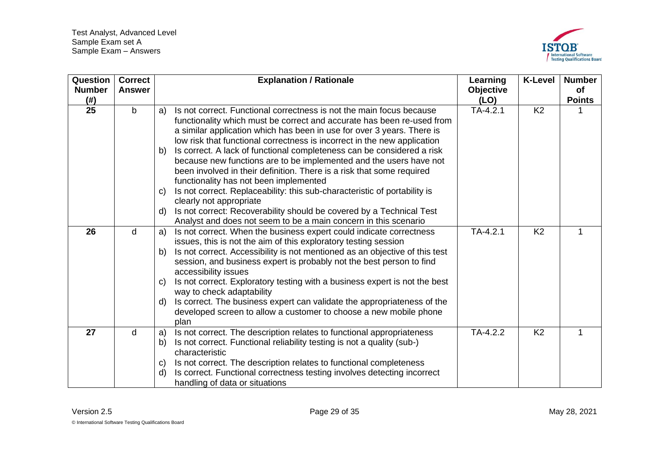

<span id="page-28-2"></span><span id="page-28-1"></span><span id="page-28-0"></span>

| Question<br><b>Number</b> | <b>Correct</b><br><b>Answer</b> | <b>Explanation / Rationale</b>                                                                                                              | Learning<br><b>Objective</b> | <b>K-Level</b> | <b>Number</b><br><b>of</b> |
|---------------------------|---------------------------------|---------------------------------------------------------------------------------------------------------------------------------------------|------------------------------|----------------|----------------------------|
| (#)                       |                                 |                                                                                                                                             | (LO)                         |                | <b>Points</b>              |
| $\overline{25}$           | $\mathbf b$                     | Is not correct. Functional correctness is not the main focus because<br>a)                                                                  | $TA-4.2.1$                   | K <sub>2</sub> |                            |
|                           |                                 | functionality which must be correct and accurate has been re-used from                                                                      |                              |                |                            |
|                           |                                 | a similar application which has been in use for over 3 years. There is                                                                      |                              |                |                            |
|                           |                                 | low risk that functional correctness is incorrect in the new application                                                                    |                              |                |                            |
|                           |                                 | Is correct. A lack of functional completeness can be considered a risk<br>b)                                                                |                              |                |                            |
|                           |                                 | because new functions are to be implemented and the users have not<br>been involved in their definition. There is a risk that some required |                              |                |                            |
|                           |                                 | functionality has not been implemented                                                                                                      |                              |                |                            |
|                           |                                 | Is not correct. Replaceability: this sub-characteristic of portability is<br>C)                                                             |                              |                |                            |
|                           |                                 | clearly not appropriate                                                                                                                     |                              |                |                            |
|                           |                                 | Is not correct: Recoverability should be covered by a Technical Test<br>d)                                                                  |                              |                |                            |
|                           |                                 | Analyst and does not seem to be a main concern in this scenario                                                                             |                              |                |                            |
| 26                        | d                               | Is not correct. When the business expert could indicate correctness<br>a)                                                                   | $TA-4.2.1$                   | K <sub>2</sub> | 1                          |
|                           |                                 | issues, this is not the aim of this exploratory testing session                                                                             |                              |                |                            |
|                           |                                 | Is not correct. Accessibility is not mentioned as an objective of this test<br>b)                                                           |                              |                |                            |
|                           |                                 | session, and business expert is probably not the best person to find                                                                        |                              |                |                            |
|                           |                                 | accessibility issues                                                                                                                        |                              |                |                            |
|                           |                                 | Is not correct. Exploratory testing with a business expert is not the best<br>$\mathbf{C}$                                                  |                              |                |                            |
|                           |                                 | way to check adaptability                                                                                                                   |                              |                |                            |
|                           |                                 | Is correct. The business expert can validate the appropriateness of the<br>d)                                                               |                              |                |                            |
|                           |                                 | developed screen to allow a customer to choose a new mobile phone                                                                           |                              |                |                            |
|                           |                                 | plan                                                                                                                                        |                              |                |                            |
| 27                        | d                               | Is not correct. The description relates to functional appropriateness<br>a)                                                                 | TA-4.2.2                     | K <sub>2</sub> | 1                          |
|                           |                                 | Is not correct. Functional reliability testing is not a quality (sub-)<br>b)                                                                |                              |                |                            |
|                           |                                 | characteristic                                                                                                                              |                              |                |                            |
|                           |                                 | Is not correct. The description relates to functional completeness<br>C)                                                                    |                              |                |                            |
|                           |                                 | Is correct. Functional correctness testing involves detecting incorrect<br>d)                                                               |                              |                |                            |
|                           |                                 | handling of data or situations                                                                                                              |                              |                |                            |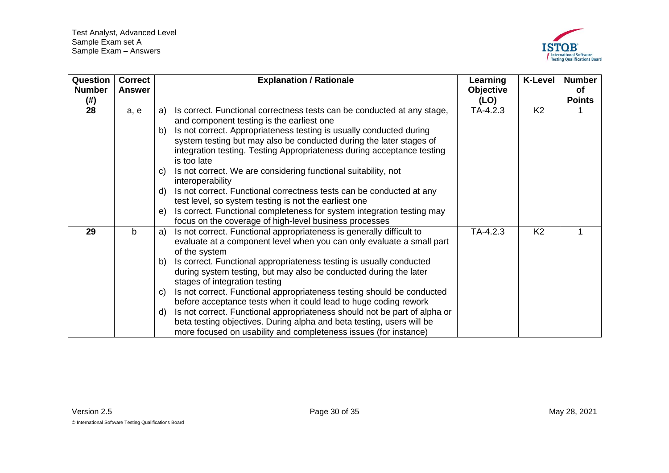

<span id="page-29-1"></span><span id="page-29-0"></span>

| Question<br><b>Number</b><br>(# ) | <b>Correct</b><br><b>Answer</b> | <b>Explanation / Rationale</b>                                                                                                                                                                                                                                                                                                                                                                                                                                                                                                                                                                                                                                                                                                                       | Learning<br>Objective<br>(LO) | <b>K-Level</b> | <b>Number</b><br>of<br><b>Points</b> |
|-----------------------------------|---------------------------------|------------------------------------------------------------------------------------------------------------------------------------------------------------------------------------------------------------------------------------------------------------------------------------------------------------------------------------------------------------------------------------------------------------------------------------------------------------------------------------------------------------------------------------------------------------------------------------------------------------------------------------------------------------------------------------------------------------------------------------------------------|-------------------------------|----------------|--------------------------------------|
| 28                                | a, e                            | Is correct. Functional correctness tests can be conducted at any stage,<br>a)<br>and component testing is the earliest one<br>Is not correct. Appropriateness testing is usually conducted during<br>b)<br>system testing but may also be conducted during the later stages of<br>integration testing. Testing Appropriateness during acceptance testing<br>is too late<br>Is not correct. We are considering functional suitability, not<br>C)<br>interoperability<br>Is not correct. Functional correctness tests can be conducted at any<br>d)<br>test level, so system testing is not the earliest one<br>Is correct. Functional completeness for system integration testing may<br>e)<br>focus on the coverage of high-level business processes | TA-4.2.3                      | K <sub>2</sub> |                                      |
| 29                                | $\mathsf{b}$                    | Is not correct. Functional appropriateness is generally difficult to<br>a)<br>evaluate at a component level when you can only evaluate a small part<br>of the system<br>Is correct. Functional appropriateness testing is usually conducted<br>b)<br>during system testing, but may also be conducted during the later<br>stages of integration testing<br>Is not correct. Functional appropriateness testing should be conducted<br>C)<br>before acceptance tests when it could lead to huge coding rework<br>Is not correct. Functional appropriateness should not be part of alpha or<br>d)<br>beta testing objectives. During alpha and beta testing, users will be<br>more focused on usability and completeness issues (for instance)          | $TA-4.2.3$                    | K <sub>2</sub> |                                      |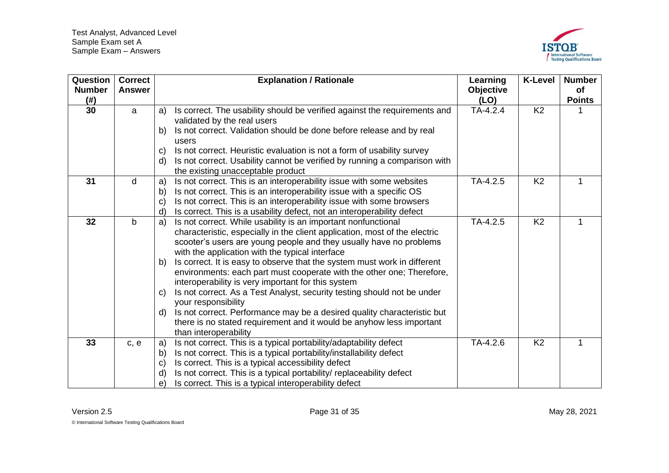

<span id="page-30-3"></span><span id="page-30-2"></span><span id="page-30-1"></span><span id="page-30-0"></span>

| Question<br><b>Number</b><br>(# ) | <b>Correct</b><br><b>Answer</b> |                    | <b>Explanation / Rationale</b>                                                                                 | Learning<br><b>Objective</b><br>(LO) | <b>K-Level</b> | <b>Number</b><br>of<br><b>Points</b> |
|-----------------------------------|---------------------------------|--------------------|----------------------------------------------------------------------------------------------------------------|--------------------------------------|----------------|--------------------------------------|
| 30                                | a                               | a)                 | Is correct. The usability should be verified against the requirements and                                      | $TA-4.2.4$                           | K <sub>2</sub> |                                      |
|                                   |                                 |                    | validated by the real users                                                                                    |                                      |                |                                      |
|                                   |                                 |                    | Is not correct. Validation should be done before release and by real                                           |                                      |                |                                      |
|                                   |                                 | b)                 |                                                                                                                |                                      |                |                                      |
|                                   |                                 |                    | users                                                                                                          |                                      |                |                                      |
|                                   |                                 | $\mathbf{C}$<br>d) | Is not correct. Heuristic evaluation is not a form of usability survey                                         |                                      |                |                                      |
|                                   |                                 |                    | Is not correct. Usability cannot be verified by running a comparison with<br>the existing unacceptable product |                                      |                |                                      |
| 31                                | d                               | a)                 | Is not correct. This is an interoperability issue with some websites                                           | TA-4.2.5                             | K <sub>2</sub> | 1                                    |
|                                   |                                 | b)                 | Is not correct. This is an interoperability issue with a specific OS                                           |                                      |                |                                      |
|                                   |                                 | $\mathbf{C}$       | Is not correct. This is an interoperability issue with some browsers                                           |                                      |                |                                      |
|                                   |                                 | $\mathsf{d}$       | Is correct. This is a usability defect, not an interoperability defect                                         |                                      |                |                                      |
| 32                                | $\mathsf{b}$                    | a)                 | Is not correct. While usability is an important nonfunctional                                                  | $TA-4.2.5$                           | K <sub>2</sub> | 1                                    |
|                                   |                                 |                    | characteristic, especially in the client application, most of the electric                                     |                                      |                |                                      |
|                                   |                                 |                    | scooter's users are young people and they usually have no problems                                             |                                      |                |                                      |
|                                   |                                 |                    | with the application with the typical interface                                                                |                                      |                |                                      |
|                                   |                                 | b)                 | Is correct. It is easy to observe that the system must work in different                                       |                                      |                |                                      |
|                                   |                                 |                    | environments: each part must cooperate with the other one; Therefore,                                          |                                      |                |                                      |
|                                   |                                 |                    | interoperability is very important for this system                                                             |                                      |                |                                      |
|                                   |                                 | C)                 | Is not correct. As a Test Analyst, security testing should not be under                                        |                                      |                |                                      |
|                                   |                                 |                    | your responsibility                                                                                            |                                      |                |                                      |
|                                   |                                 | d)                 | Is not correct. Performance may be a desired quality characteristic but                                        |                                      |                |                                      |
|                                   |                                 |                    | there is no stated requirement and it would be anyhow less important                                           |                                      |                |                                      |
|                                   |                                 |                    | than interoperability                                                                                          |                                      |                |                                      |
| 33                                | c, e                            | a)                 | Is not correct. This is a typical portability/adaptability defect                                              | TA-4.2.6                             | K <sub>2</sub> | 1                                    |
|                                   |                                 | $\mathsf{b}$       | Is not correct. This is a typical portability/installability defect                                            |                                      |                |                                      |
|                                   |                                 | $\mathbf{C}$       | Is correct. This is a typical accessibility defect                                                             |                                      |                |                                      |
|                                   |                                 | $\mathsf{d}$       | Is not correct. This is a typical portability/ replaceability defect                                           |                                      |                |                                      |
|                                   |                                 | e)                 | Is correct. This is a typical interoperability defect                                                          |                                      |                |                                      |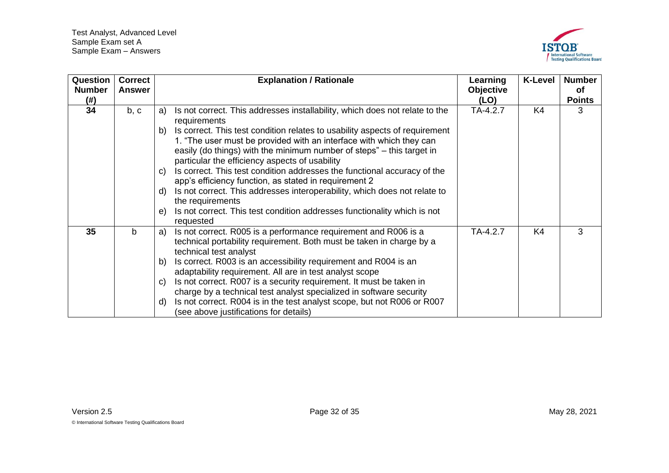

<span id="page-31-1"></span><span id="page-31-0"></span>

| Question      | <b>Correct</b> | <b>Explanation / Rationale</b>                                                                                                                                                                                                                                                                                                                                                                                                                                                                                                                                                                                          | Learning  | <b>K-Level</b> | <b>Number</b> |
|---------------|----------------|-------------------------------------------------------------------------------------------------------------------------------------------------------------------------------------------------------------------------------------------------------------------------------------------------------------------------------------------------------------------------------------------------------------------------------------------------------------------------------------------------------------------------------------------------------------------------------------------------------------------------|-----------|----------------|---------------|
| <b>Number</b> | <b>Answer</b>  |                                                                                                                                                                                                                                                                                                                                                                                                                                                                                                                                                                                                                         | Objective |                | оf            |
| (# )          |                |                                                                                                                                                                                                                                                                                                                                                                                                                                                                                                                                                                                                                         | (LO)      |                | <b>Points</b> |
| 34            | b, c           | Is not correct. This addresses installability, which does not relate to the<br>a)<br>requirements                                                                                                                                                                                                                                                                                                                                                                                                                                                                                                                       | TA-4.2.7  | K4             | 3             |
|               |                | Is correct. This test condition relates to usability aspects of requirement<br>b)<br>1. "The user must be provided with an interface with which they can<br>easily (do things) with the minimum number of steps" – this target in<br>particular the efficiency aspects of usability<br>Is correct. This test condition addresses the functional accuracy of the<br>C)<br>app's efficiency function, as stated in requirement 2<br>Is not correct. This addresses interoperability, which does not relate to<br>d)<br>the requirements<br>Is not correct. This test condition addresses functionality which is not<br>e) |           |                |               |
| 35            | b              | requested<br>Is not correct. R005 is a performance requirement and R006 is a<br>a)<br>technical portability requirement. Both must be taken in charge by a<br>technical test analyst<br>Is correct. R003 is an accessibility requirement and R004 is an<br>b)<br>adaptability requirement. All are in test analyst scope<br>Is not correct. R007 is a security requirement. It must be taken in<br>C)<br>charge by a technical test analyst specialized in software security<br>Is not correct. R004 is in the test analyst scope, but not R006 or R007<br>d)<br>(see above justifications for details)                 | TA-4.2.7  | K4             | 3             |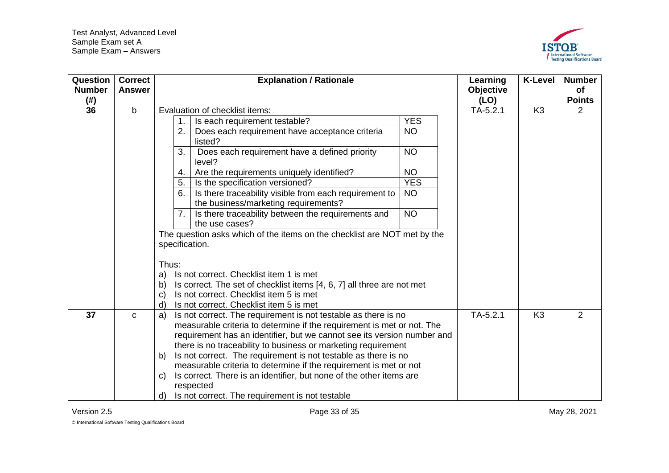

| Question<br><b>Number</b><br>(# ) | <b>Correct</b><br><b>Answer</b> | <b>Explanation / Rationale</b>                                                                                                                    | Learning<br><b>Objective</b><br>(LO) | <b>K-Level</b> | <b>Number</b><br>of<br><b>Points</b> |
|-----------------------------------|---------------------------------|---------------------------------------------------------------------------------------------------------------------------------------------------|--------------------------------------|----------------|--------------------------------------|
| 36                                | $\mathsf{b}$                    | Evaluation of checklist items:                                                                                                                    | $TA-5.2.1$                           | K <sub>3</sub> | 2                                    |
|                                   |                                 | <b>YES</b><br>Is each requirement testable?                                                                                                       |                                      |                |                                      |
|                                   |                                 | Does each requirement have acceptance criteria<br><b>NO</b><br>2.<br>listed?                                                                      |                                      |                |                                      |
|                                   |                                 | <b>NO</b><br>3.<br>Does each requirement have a defined priority<br>level?                                                                        |                                      |                |                                      |
|                                   |                                 | Are the requirements uniquely identified?<br><b>NO</b><br>4.                                                                                      |                                      |                |                                      |
|                                   |                                 | <b>YES</b><br>Is the specification versioned?<br>5.                                                                                               |                                      |                |                                      |
|                                   |                                 | Is there traceability visible from each requirement to<br><b>NO</b><br>6.<br>the business/marketing requirements?                                 |                                      |                |                                      |
|                                   |                                 | <b>NO</b><br>Is there traceability between the requirements and<br>7.<br>the use cases?                                                           |                                      |                |                                      |
|                                   |                                 | The question asks which of the items on the checklist are NOT met by the<br>specification.                                                        |                                      |                |                                      |
|                                   |                                 | Thus:                                                                                                                                             |                                      |                |                                      |
|                                   |                                 | Is not correct. Checklist item 1 is met<br>a)                                                                                                     |                                      |                |                                      |
|                                   |                                 | Is correct. The set of checklist items [4, 6, 7] all three are not met<br>b)                                                                      |                                      |                |                                      |
|                                   |                                 | Is not correct. Checklist item 5 is met<br>C)                                                                                                     |                                      |                |                                      |
|                                   |                                 | Is not correct. Checklist item 5 is met<br>d)                                                                                                     |                                      |                |                                      |
| 37                                | C                               | Is not correct. The requirement is not testable as there is no<br>a)                                                                              | $TA-5.2.1$                           | K <sub>3</sub> | 2                                    |
|                                   |                                 | measurable criteria to determine if the requirement is met or not. The<br>requirement has an identifier, but we cannot see its version number and |                                      |                |                                      |
|                                   |                                 | there is no traceability to business or marketing requirement                                                                                     |                                      |                |                                      |
|                                   |                                 | Is not correct. The requirement is not testable as there is no<br>b)                                                                              |                                      |                |                                      |
|                                   |                                 | measurable criteria to determine if the requirement is met or not                                                                                 |                                      |                |                                      |
|                                   |                                 | Is correct. There is an identifier, but none of the other items are<br>C)                                                                         |                                      |                |                                      |
|                                   |                                 | respected                                                                                                                                         |                                      |                |                                      |
|                                   |                                 | Is not correct. The requirement is not testable<br>d)                                                                                             |                                      |                |                                      |

<span id="page-32-1"></span><span id="page-32-0"></span>© International Software Testing Qualifications Board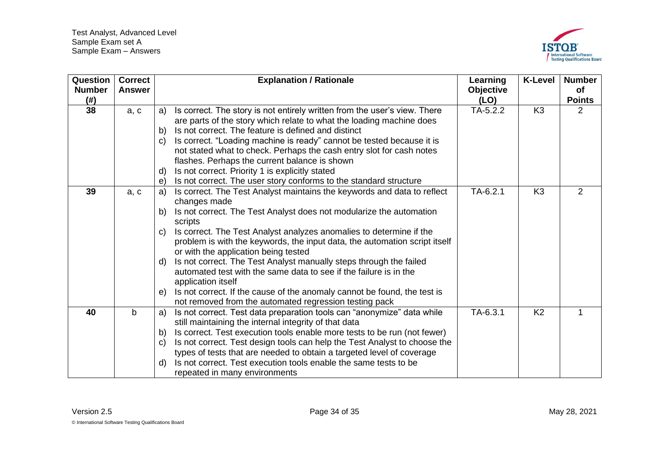

<span id="page-33-2"></span><span id="page-33-1"></span><span id="page-33-0"></span>

| Question<br><b>Number</b><br>(# ) | <b>Correct</b><br><b>Answer</b> | <b>Explanation / Rationale</b>                                                                                                                                                                                                                                                                                                                                                                                                                                                                                                                                                                                                                                                                              | Learning<br>Objective<br>(LO) | <b>K-Level</b> | <b>Number</b><br>of<br><b>Points</b> |
|-----------------------------------|---------------------------------|-------------------------------------------------------------------------------------------------------------------------------------------------------------------------------------------------------------------------------------------------------------------------------------------------------------------------------------------------------------------------------------------------------------------------------------------------------------------------------------------------------------------------------------------------------------------------------------------------------------------------------------------------------------------------------------------------------------|-------------------------------|----------------|--------------------------------------|
| 38                                | a, c                            | Is correct. The story is not entirely written from the user's view. There<br>a)<br>are parts of the story which relate to what the loading machine does<br>Is not correct. The feature is defined and distinct<br>b)<br>Is correct. "Loading machine is ready" cannot be tested because it is<br>$\mathsf{C}$<br>not stated what to check. Perhaps the cash entry slot for cash notes<br>flashes. Perhaps the current balance is shown<br>Is not correct. Priority 1 is explicitly stated                                                                                                                                                                                                                   | TA-5.2.2                      | K <sub>3</sub> | 2                                    |
|                                   |                                 | d)<br>Is not correct. The user story conforms to the standard structure<br>$\Theta$                                                                                                                                                                                                                                                                                                                                                                                                                                                                                                                                                                                                                         |                               |                |                                      |
| 39                                | a, c                            | Is correct. The Test Analyst maintains the keywords and data to reflect<br>a)<br>changes made<br>Is not correct. The Test Analyst does not modularize the automation<br>b)<br>scripts<br>Is correct. The Test Analyst analyzes anomalies to determine if the<br>C)<br>problem is with the keywords, the input data, the automation script itself<br>or with the application being tested<br>Is not correct. The Test Analyst manually steps through the failed<br>d)<br>automated test with the same data to see if the failure is in the<br>application itself<br>Is not correct. If the cause of the anomaly cannot be found, the test is<br>e)<br>not removed from the automated regression testing pack | $TA-6.2.1$                    | K <sub>3</sub> | 2                                    |
| 40                                | b                               | Is not correct. Test data preparation tools can "anonymize" data while<br>a)<br>still maintaining the internal integrity of that data<br>Is correct. Test execution tools enable more tests to be run (not fewer)<br>b)<br>Is not correct. Test design tools can help the Test Analyst to choose the<br>$\mathsf{C}$<br>types of tests that are needed to obtain a targeted level of coverage<br>Is not correct. Test execution tools enable the same tests to be<br>d)<br>repeated in many environments                                                                                                                                                                                                    | $TA-6.3.1$                    | K <sub>2</sub> | 1                                    |